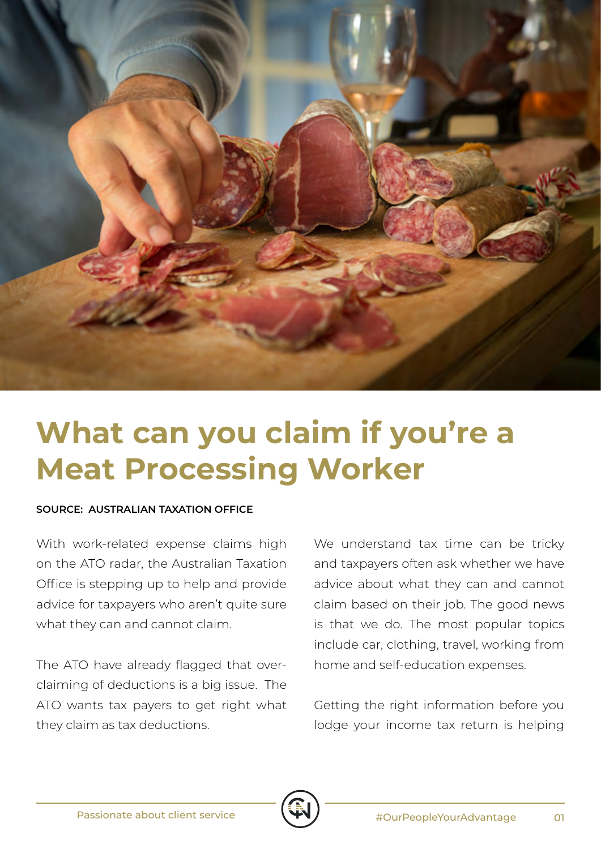

## **What can you claim if you're a Meat Processing Worker**

## **SOURCE: AUSTRALIAN TAXATION OFFICE**

With work-related expense claims high on the ATO radar, the Australian Taxation Office is stepping up to help and provide advice for taxpayers who aren't quite sure what they can and cannot claim.

The ATO have already flagged that overclaiming of deductions is a big issue. The ATO wants tax payers to get right what they claim as tax deductions.

We understand tax time can be tricky and taxpayers often ask whether we have advice about what they can and cannot claim based on their job. The good news is that we do. The most popular topics include car, clothing, travel, working from home and self-education expenses.

Getting the right information before you lodge your income tax return is helping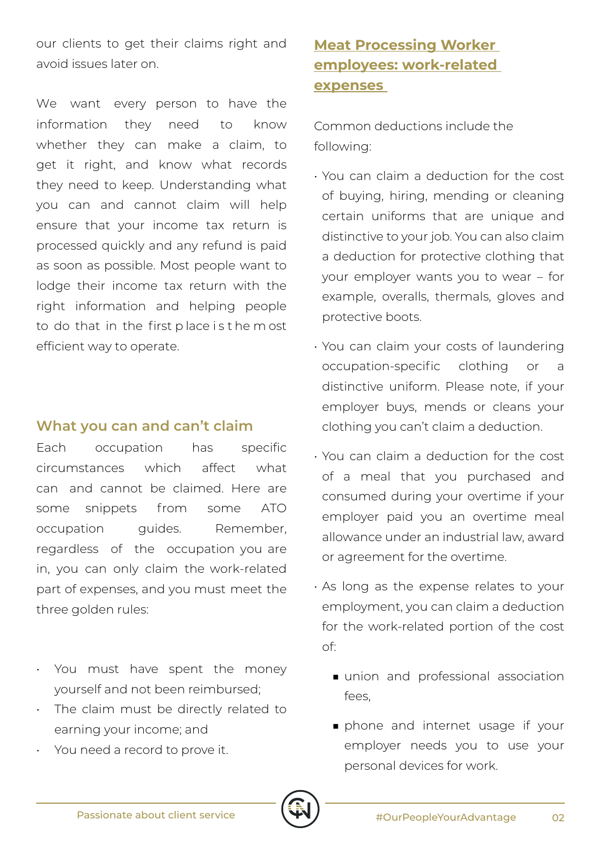our clients to get their claims right and avoid issues later on.

We want every person to have the information they need to know whether they can make a claim, to get it right, and know what records they need to keep. Understanding what you can and cannot claim will help ensure that your income tax return is processed quickly and any refund is paid as soon as possible. Most people want to lodge their income tax return with the right information and helping people to do that in the first p lace i s t he m ost efficient way to operate.

## **What you can and can't claim**

Each occupation has specific circumstances which affect what can and cannot be claimed. Here are some snippets from some ATO occupation quides. Remember, regardless of the occupation you are in, you can only claim the work-related part of expenses, and you must meet the three golden rules:

- You must have spent the money yourself and not been reimbursed;
- The claim must be directly related to earning your income; and
- You need a record to prove it.

## **Meat Processing Worker employees: work-related expenses**

Common deductions include the following:

- You can claim a deduction for the cost of buying, hiring, mending or cleaning certain uniforms that are unique and distinctive to your job. You can also claim a deduction for protective clothing that your employer wants you to wear – for example, overalls, thermals, gloves and protective boots.
- You can claim your costs of laundering occupation-specific clothing or a distinctive uniform. Please note, if your employer buys, mends or cleans your clothing you can't claim a deduction.
- You can claim a deduction for the cost of a meal that you purchased and consumed during your overtime if your employer paid you an overtime meal allowance under an industrial law, award or agreement for the overtime.
- As long as the expense relates to your employment, you can claim a deduction for the work-related portion of the cost of:
	- union and professional association fees,
	- phone and internet usage if your employer needs you to use your personal devices for work.